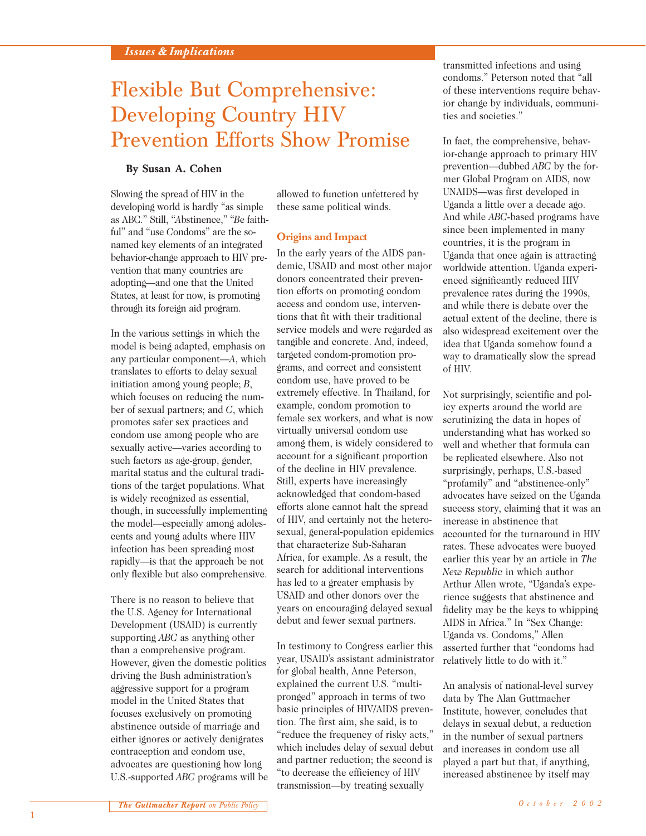# Flexible But Comprehensive: Developing Country HIV Prevention Efforts Show Promise

## **By Susan A. Cohen**

Slowing the spread of HIV in the developing world is hardly "as simple as ABC." Still, "*A*bstinence," "*B*e faithful" and "use *C*ondoms" are the sonamed key elements of an integrated behavior-change approach to HIV prevention that many countries are adopting—and one that the United States, at least for now, is promoting through its foreign aid program.

In the various settings in which the model is being adapted, emphasis on any particular component—*A*, which translates to efforts to delay sexual initiation among young people; *B*, which focuses on reducing the number of sexual partners; and *C*, which promotes safer sex practices and condom use among people who are sexually active—varies according to such factors as age-group, gender, marital status and the cultural traditions of the target populations. What is widely recognized as essential, though, in successfully implementing the model—especially among adolescents and young adults where HIV infection has been spreading most rapidly—is that the approach be not only flexible but also comprehensive.

There is no reason to believe that the U.S. Agency for International Development (USAID) is currently supporting *ABC* as anything other than a comprehensive program. However, given the domestic politics driving the Bush administration's aggressive support for a program model in the United States that focuses exclusively on promoting abstinence outside of marriage and either ignores or actively denigrates contraception and condom use, advocates are questioning how long U.S.-supported *ABC* programs will be allowed to function unfettered by these same political winds.

### **Origins and Impact**

In the early years of the AIDS pandemic, USAID and most other major donors concentrated their prevention efforts on promoting condom access and condom use, interventions that fit with their traditional service models and were regarded as tangible and concrete. And, indeed, targeted condom-promotion programs, and correct and consistent condom use, have proved to be extremely effective. In Thailand, for example, condom promotion to female sex workers, and what is now virtually universal condom use among them, is widely considered to account for a significant proportion of the decline in HIV prevalence. Still, experts have increasingly acknowledged that condom-based efforts alone cannot halt the spread of HIV, and certainly not the heterosexual, general-population epidemics that characterize Sub-Saharan Africa, for example. As a result, the search for additional interventions has led to a greater emphasis by USAID and other donors over the years on encouraging delayed sexual debut and fewer sexual partners.

In testimony to Congress earlier this year, USAID's assistant administrator for global health, Anne Peterson, explained the current U.S. "multipronged" approach in terms of two basic principles of HIV/AIDS prevention. The first aim, she said, is to "reduce the frequency of risky acts," which includes delay of sexual debut and partner reduction; the second is "to decrease the efficiency of HIV transmission—by treating sexually

transmitted infections and using condoms." Peterson noted that "all of these interventions require behavior change by individuals, communities and societies."

In fact, the comprehensive, behavior-change approach to primary HIV prevention—dubbed *ABC* by the former Global Program on AIDS, now UNAIDS—was first developed in Uganda a little over a decade ago. And while *ABC*-based programs have since been implemented in many countries, it is the program in Uganda that once again is attracting worldwide attention. Uganda experienced significantly reduced HIV prevalence rates during the 1990s, and while there is debate over the actual extent of the decline, there is also widespread excitement over the idea that Uganda somehow found a way to dramatically slow the spread of HIV.

Not surprisingly, scientific and policy experts around the world are scrutinizing the data in hopes of understanding what has worked so well and whether that formula can be replicated elsewhere. Also not surprisingly, perhaps, U.S.-based "profamily" and "abstinence-only" advocates have seized on the Uganda success story, claiming that it was an increase in abstinence that accounted for the turnaround in HIV rates. These advocates were buoyed earlier this year by an article in *The New Republic* in which author Arthur Allen wrote, "Uganda's experience suggests that abstinence and fidelity may be the keys to whipping AIDS in Africa." In "Sex Change: Uganda vs. Condoms," Allen asserted further that "condoms had relatively little to do with it."

An analysis of national-level survey data by The Alan Guttmacher Institute, however, concludes that delays in sexual debut, a reduction in the number of sexual partners and increases in condom use all played a part but that, if anything, increased abstinence by itself may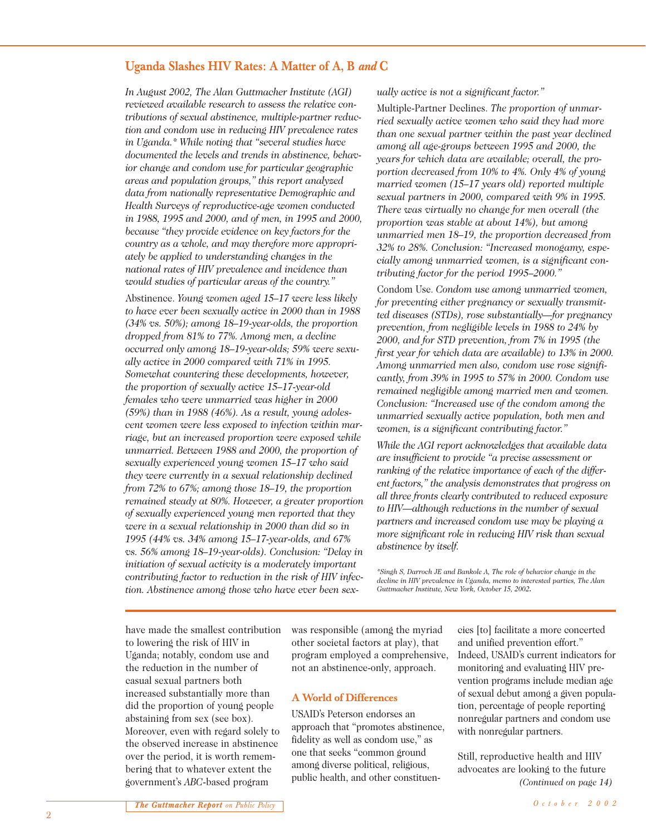## **Uganda Slashes HIV Rates: A Matter of A, B** *and* **C**

*In August 2002, The Alan Guttmacher Institute (AGI) reviewed available research to assess the relative contributions of sexual abstinence, multiple-partner reduction and condom use in reducing HIV prevalence rates in Uganda.\* While noting that "several studies have documented the levels and trends in abstinence, behavior change and condom use for particular geographic areas and population groups," this report analyzed data from nationally representative Demographic and Health Surveys of reproductive-age women conducted in 1988, 1995 and 2000, and of men, in 1995 and 2000, because "they provide evidence on key factors for the country as a whole, and may therefore more appropriately be applied to understanding changes in the national rates of HIV prevalence and incidence than would studies of particular areas of the country."* 

Abstinence. *Young women aged 15–17 were less likely to have ever been sexually active in 2000 than in 1988 (34% vs. 50%); among 18–19-year-olds, the proportion dropped from 81% to 77%. Among men, a decline occurred only among 18–19-year-olds; 59% were sexually active in 2000 compared with 71% in 1995. Somewhat countering these developments, however, the proportion of sexually active 15–17-year-old females who were unmarried was higher in 2000 (59%) than in 1988 (46%). As a result, young adolescent women were less exposed to infection within marriage, but an increased proportion were exposed while unmarried. Between 1988 and 2000, the proportion of sexually experienced young women 15–17 who said they were currently in a sexual relationship declined from 72% to 67%; among those 18–19, the proportion remained steady at 80%. However, a greater proportion of sexually experienced young men reported that they were in a sexual relationship in 2000 than did so in 1995 (44% vs. 34% among 15–17-year-olds, and 67% vs. 56% among 18–19-year-olds). Conclusion: "Delay in initiation of sexual activity is a moderately important contributing factor to reduction in the risk of HIV infection. Abstinence among those who have ever been sex-* *ually active is not a significant factor."*

Multiple-Partner Declines. *The proportion of unmarried sexually active women who said they had more than one sexual partner within the past year declined among all age-groups between 1995 and 2000, the years for which data are available; overall, the proportion decreased from 10% to 4%. Only 4% of young married women (15–17 years old) reported multiple sexual partners in 2000, compared with 9% in 1995. There was virtually no change for men overall (the proportion was stable at about 14%), but among unmarried men 18–19, the proportion decreased from 32% to 28%. Conclusion: "Increased monogamy, especially among unmarried women, is a significant contributing factor for the period 1995–2000."*

Condom Use. *Condom use among unmarried women, for preventing either pregnancy or sexually transmitted diseases (STDs), rose substantially—for pregnancy prevention, from negligible levels in 1988 to 24% by 2000, and for STD prevention, from 7% in 1995 (the first year for which data are available) to 13% in 2000. Among unmarried men also, condom use rose significantly, from 39% in 1995 to 57% in 2000. Condom use remained negligible among married men and women. Conclusion: "Increased use of the condom among the unmarried sexually active population, both men and women, is a significant contributing factor."*

*While the AGI report acknowledges that available data are insufficient to provide "a precise assessment or ranking of the relative importance of each of the different factors," the analysis demonstrates that progress on all three fronts clearly contributed to reduced exposure to HIV—although reductions in the number of sexual partners and increased condom use may be playing a more significant role in reducing HIV risk than sexual abstinence by itself.*

*\*Singh S, Darroch JE and Bankole A, The role of behavior change in the decline in HIV prevalence in Uganda, memo to interested parties, The Alan Guttmacher Institute, New York, October 15, 2002.*

have made the smallest contribution to lowering the risk of HIV in Uganda; notably, condom use and the reduction in the number of casual sexual partners both increased substantially more than did the proportion of young people abstaining from sex (see box). Moreover, even with regard solely to the observed increase in abstinence over the period, it is worth remembering that to whatever extent the government's *ABC*-based program

was responsible (among the myriad other societal factors at play), that program employed a comprehensive, not an abstinence-only, approach.

### **A World of Differences**

USAID's Peterson endorses an approach that "promotes abstinence, fidelity as well as condom use," as one that seeks "common ground among diverse political, religious, public health, and other constituen-

cies [to] facilitate a more concerted and unified prevention effort." Indeed, USAID's current indicators for monitoring and evaluating HIV prevention programs include median age of sexual debut among a given population, percentage of people reporting nonregular partners and condom use with nonregular partners.

Still, reproductive health and HIV advocates are looking to the future *(Continued on page 14)*